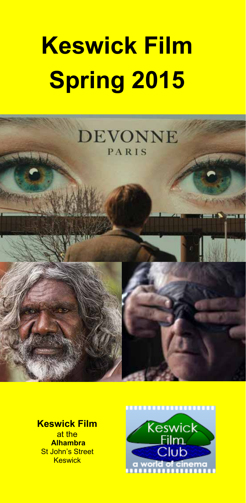# **Keswick Film Spring 2015**



**Keswick Film**  at the  **Alhambra**  St John's Street **Keswick** 

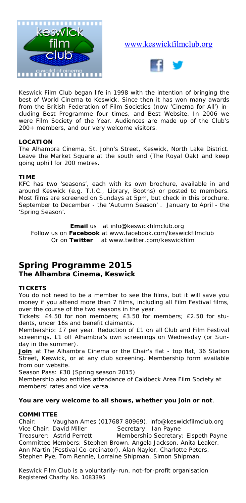

#### www.keswickfilmclub.org



Keswick Film Club began life in 1998 with the intention of bringing the best of World Cinema to Keswick. Since then it has won many awards from the British Federation of Film Societies (now 'Cinema for All') including Best Programme four times, and Best Website. In 2006 we were Film Society of the Year. Audiences are made up of the Club's 200+ members, and our very welcome visitors.

#### **LOCATION**

The Alhambra Cinema, St. John's Street, Keswick, North Lake District. Leave the Market Square at the south end (The Royal Oak) and keep going uphill for 200 metres.

#### **TIME**

KFC has two 'seasons', each with its own brochure, available in and around Keswick (e.g. T.I.C., Library, Booths) or posted to members. Most films are screened on Sundays at 5pm, but check in this brochure. September to December - the 'Autumn Season' . January to April - the 'Spring Season'.

**Email** us at info@keswickfilmclub.org Follow us on **Facebook** at www.facebook.com/keswickfilmclub Or on **Twitter** at www.twitter.com/keswickfilm

#### **Spring Programme 2015 The Alhambra Cinema, Keswick**

#### **TICKETS**

You do not need to be a member to see the films, but it will save you money if you attend more than 7 films, including all Film Festival films, over the course of the two seasons in the year.

*Tickets:* £4.50 for non members; £3.50 for members; £2.50 for students, under 16s and benefit claimants.

*Membership:* £7 per year. Reduction of £1 on all Club and Film Festival screenings, £1 off Alhambra's own screenings on Wednesday (or Sunday in the summer).

Join at The Alhambra Cinema or the Chair's flat - top flat, 36 Station Street, Keswick, or at any club screening. Membership form available from our website.

*Season Pass:* £30 (Spring season 2015)

Membership also entitles attendance of Caldbeck Area Film Society at members' rates and vice versa.

#### **You are very welcome to all shows, whether you join or not**.

#### **COMMITTEE**

Chair: Vaughan Ames (017687 80969), info@keswickfilmclub.org Vice Chair: David Miller Secretary: Ian Payne Treasurer: Astrid Perrett Membership Secretary: Elspeth Payne Committee Members: Stephen Brown, Angela Jackson, Anita Leaker, Ann Martin (Festival Co-ordinator), Alan Naylor, Charlotte Peters, Stephen Pye, Tom Rennie, Lorraine Shipman, Simon Shipman.

*Keswick Film Club is a voluntarily-run, not-for-profit organisation Registered Charity No. 1083395*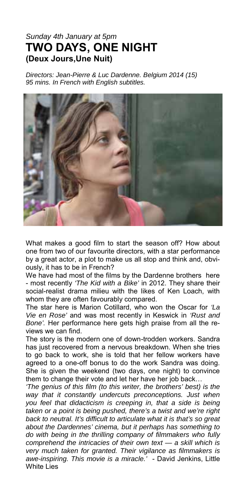#### *Sunday 4th January at 5pm*  **TWO DAYS, ONE NIGHT (Deux Jours,Une Nuit)**

*Directors: Jean-Pierre & Luc Dardenne. Belgium 2014 (15) 95 mins. In French with English subtitles.* 



What makes a good film to start the season off? How about one from two of our favourite directors, with a star performance by a great actor, a plot to make us all stop and think and, obviously, it has to be in French?

We have had most of the films by the Dardenne brothers here - most recently *'The Kid with a Bike'* in 2012. They share their social-realist drama milieu with the likes of Ken Loach, with whom they are often favourably compared.

The star here is Marion Cotillard, who won the Oscar for *'La Vie en Rose'* and was most recently in Keswick in *'Rust and Bone'.* Her performance here gets high praise from all the reviews we can find.

The story is the modern one of down-trodden workers. Sandra has just recovered from a nervous breakdown. When she tries to go back to work, she is told that her fellow workers have agreed to a one-off bonus to do the work Sandra was doing. She is given the weekend (two days, one night) to convince them to change their vote and let her have her job back…

*'The genius of this film (to this writer, the brothers' best) is the way that it constantly undercuts preconceptions. Just when you feel that didacticism is creeping in, that a side is being taken or a point is being pushed, there's a twist and we're right back to neutral. It's difficult to articulate what it is that's so great about the Dardennes' cinema, but it perhaps has something to do with being in the thrilling company of filmmakers who fully comprehend the intricacies of their own text — a skill which is very much taken for granted. Their vigilance as filmmakers is awe-inspiring. This movie is a miracle.'* - David Jenkins, Little White Lies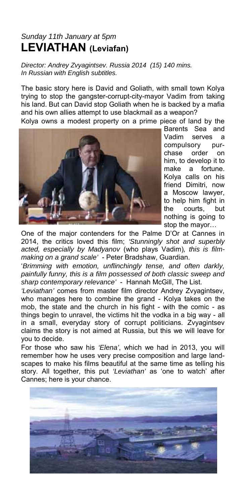# *Sunday 11th January at 5pm*  **LEVIATHAN (Leviafan)**

*Director: Andrey Zvyagintsev. Russia 2014 (15) 140 mins. In Russian with English subtitles.* 

The basic story here is David and Goliath, with small town Kolya trying to stop the gangster-corrupt-city-mayor Vadim from taking his land. But can David stop Goliath when he is backed by a mafia and his own allies attempt to use blackmail as a weapon?

Kolya owns a modest property on a prime piece of land by the



Barents Sea and Vadim serves a compulsory purchase order on him, to develop it to make a fortune. Kolya calls on his friend Dimitri, now a Moscow lawyer, to help him fight in the courts, but nothing is going to stop the mayor…

One of the major contenders for the Palme D'Or at Cannes in 2014, the critics loved this film; *'Stunningly shot and superbly acted, especially by Madyanov* (who plays Vadim)*, this is filmmaking on a grand scale'* - Peter Bradshaw, Guardian.

'*Brimming with emotion, unflinchingly tense, and often darkly, painfully funny, this is a film possessed of both classic sweep and sharp contemporary relevance'* - Hannah McGill, The List.

*'Leviathan'* comes from master film director Andrey Zvyagintsev*,*  who manages here to combine the grand - Kolya takes on the mob, the state and the church in his fight - with the comic - as things begin to unravel, the victims hit the vodka in a big way - all in a small, everyday story of corrupt politicians. Zvyagintsev claims the story is not aimed at Russia, but this we will leave for you to decide.

For those who saw his *'Elena'*, which we had in 2013, you will remember how he uses very precise composition and large landscapes to make his films beautiful at the same time as telling his story. All together, this put *'Leviathan'* as 'one to watch' after Cannes; here is your chance.

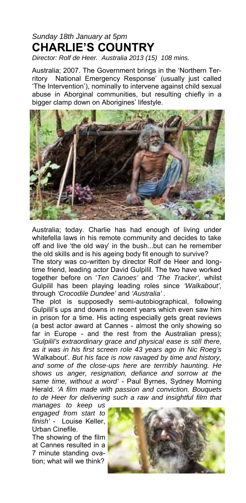# *Sunday 18th January at 5pm*  **CHARLIE'S COUNTRY**

*Director: Rolf de Heer. Australia 2013 (15) 108 mins.* 

Australia; 2007. The Government brings in the 'Northern Territory National Emergency Response' (usually just called 'The Intervention'), nominally to intervene against child sexual abuse in Aborginal communities, but resulting chiefly in a bigger clamp down on Aborigines' lifestyle.



Australia; today. Charlie has had enough of living under whitefella laws in his remote community and decides to take off and live 'the old way' in the bush...but can he remember the old skills and is his ageing body fit enough to survive?

The story was co-written by director Rolf de Heer and longtime friend, leading actor David Gulpilil. The two have worked together before on '*Ten Canoes'* and *'The Tracker',* whilst Gulpilil has been playing leading roles since *'Walkabout',*  through *'Crocodile Dundee'* and *'Australia' .*

The plot is supposedly semi-autobiographical, following Gulpilil's ups and downs in recent years which even saw him in prison for a time. His acting especially gets great reviews (a best actor award at Cannes - almost the only showing so far in Europe - and the rest from the Australian press); *'Gulpilil's extraordinary grace and physical ease is still there, as it was in his first screen role 43 years ago in Nic Roeg's '*Walkabout'*. But his face is now ravaged by time and history, and some of the close-ups here are terrribly haunting. He shows us anger, resignation, defiance and sorrow at the same time, without a word'* - Paul Byrnes, Sydney Morning Herald. *'A film made with passion and conviction. Bouquets to de Heer for delivering such a raw and insightful film that* 

*manages to keep us engaged from start to finish'* - Louise Keller, Urban Cinefile.

The showing of the film at Cannes resulted in a 7 minute standing ovation; what will we think?

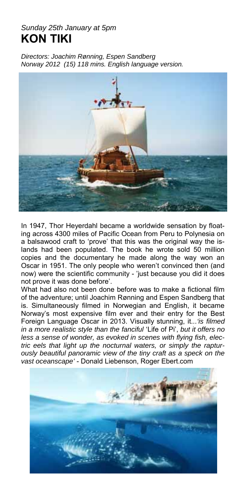# *Sunday 25th January at 5pm*  **KON TIKI**

*Directors: Joachim Rønning, Espen Sandberg Norway 2012 (15) 118 mins. English language version.* 



In 1947, Thor Heyerdahl became a worldwide sensation by floating across 4300 miles of Pacific Ocean from Peru to Polynesia on a balsawood craft to 'prove' that this was the original way the islands had been populated. The book he wrote sold 50 million copies and the documentary he made along the way won an Oscar in 1951. The only people who weren't convinced then (and now) were the scientific community - 'just because you did it does not prove it was done before'.

What had also not been done before was to make a fictional film of the adventure; until Joachim Rønning and Espen Sandberg that is. Simultaneously filmed in Norwegian and English, it became Norway's most expensive film ever and their entry for the Best Foreign Language Oscar in 2013. Visually stunning, it...*'is filmed in a more realistic style than the fanciful* 'Life of Pi', *but it offers no less a sense of wonder, as evoked in scenes with flying fish, electric eels that light up the nocturnal waters, or simply the rapturously beautiful panoramic view of the tiny craft as a speck on the vast oceanscape'* - Donald Liebenson, Roger Ebert.com

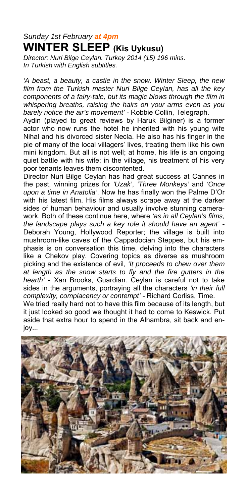## *Sunday 1st February at 4pm* **WINTER SLEEP (Kis Uykusu)**

*Director: Nuri Bilge Ceylan. Turkey 2014 (15) 196 mins. In Turkish with English subtitles.* 

*'A beast, a beauty, a castle in the snow. Winter Sleep, the new film from the Turkish master Nuri Bilge Ceylan, has all the key components of a fairy-tale, but its magic blows through the film in whispering breaths, raising the hairs on your arms even as you barely notice the air's movement'* - Robbie Collin, Telegraph.

Aydin (played to great reviews by Haruk Bilginer) is a former actor who now runs the hotel he inherited with his young wife Nihal and his divorced sister Necla. He also has his finger in the pie of many of the local villagers' lives, treating them like his own mini kingdom. But all is not well; at home, his life is an ongoing quiet battle with his wife; in the village, his treatment of his very poor tenants leaves them discontented.

Director Nuri Bilge Ceylan has had great success at Cannes in the past, winning prizes for *'Uzak'*, *'Three Monkeys'* and *'Once upon a time in Anatolia'*. Now he has finally won the Palme D'Or with his latest film. His films always scrape away at the darker sides of human behaviour and usually involve stunning camerawork. Both of these continue here, where *'as in all Ceylan's films, the landscape plays such a key role it should have an agent'* - Deborah Young, Hollywood Reporter; the village is built into mushroom-like caves of the Cappadocian Steppes, but his emphasis is on conversation this time, delving into the characters like a Chekov play. Covering topics as diverse as mushroom picking and the existence of evil, *'It proceeds to chew over them at length as the snow starts to fly and the fire gutters in the hearth'* - Xan Brooks, Guardian. Ceylan is careful not to take sides in the arguments, portraying all the characters *'in their full complexity, complacency or contempt'* - Richard Corliss, Time.

We tried really hard not to have this film because of its length, but it just looked so good we thought it had to come to Keswick. Put aside that extra hour to spend in the Alhambra, sit back and enjoy...

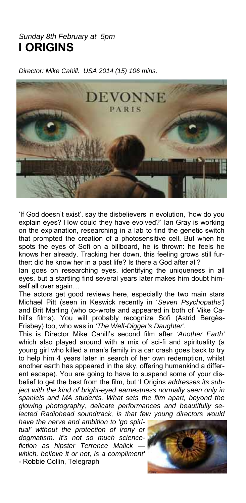#### *Sunday 8th February at 5pm*  **I ORIGINS**

*Director: Mike Cahill. USA 2014 (15) 106 mins.* 



'If God doesn't exist', say the disbelievers in evolution, 'how do you explain eyes? How could they have evolved?' Ian Gray is working on the explanation, researching in a lab to find the genetic switch that prompted the creation of a photosensitive cell. But when he spots the eyes of Sofi on a billboard, he is thrown: he feels he knows her already. Tracking her down, this feeling grows still further: did he know her in a past life? Is there a God after all?

Ian goes on researching eyes, identifying the uniqueness in all eyes, but a startling find several years later makes him doubt himself all over again…

The actors get good reviews here, especially the two main stars Michael Pitt (seen in Keswick recently in '*Seven Psychopaths')*  and Brit Marling (who co-wrote and appeared in both of Mike Cahill's films). You will probably recognize Sofi (Astrid Bergès-Frisbey) too, who was in *'The Well-Digger's Daughter'.*

This is Director Mike Cahill's second film after *'Another Earth'* which also played around with a mix of sci-fi and spirituality (a young girl who killed a man's family in a car crash goes back to try to help him 4 years later in search of her own redemption, whilst another earth has appeared in the sky, offering humankind a different escape). You are going to have to suspend some of your disbelief to get the best from the film, but 'I Origins *addresses its subject with the kind of bright-eyed earnestness normally seen only in spaniels and MA students. What sets the film apart, beyond the glowing photography, delicate performances and beautifully selected Radiohead soundtrack, is that few young directors would* 

*have the nerve and ambition to 'go spiritual' without the protection of irony or dogmatism. It's not so much sciencefiction as hipster Terrence Malick which, believe it or not, is a compliment'*  - Robbie Collin, Telegraph

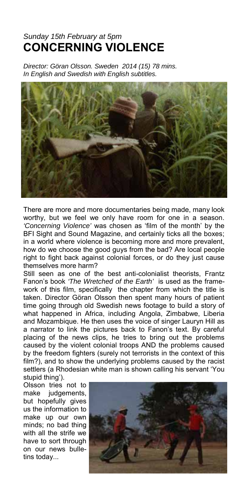# *Sunday 15th February at 5pm*  **CONCERNING VIOLENCE**

*Director: Göran Olsson. Sweden 2014 (15) 78 mins. In English and Swedish with English subtitles.* 



There are more and more documentaries being made, many look worthy, but we feel we only have room for one in a season. *'Concerning Violence'* was chosen as 'film of the month' by the BFI Sight and Sound Magazine, and certainly ticks all the boxes; in a world where violence is becoming more and more prevalent, how do we choose the good guys from the bad? Are local people right to fight back against colonial forces, or do they just cause themselves more harm?

Still seen as one of the best anti-colonialist theorists, Frantz Fanon's book *'The Wretched of the Earth'* is used as the framework of this film, specifically the chapter from which the title is taken. Director Göran Olsson then spent many hours of patient time going through old Swedish news footage to build a story of what happened in Africa, including Angola, Zimbabwe, Liberia and Mozambique. He then uses the voice of singer Lauryn Hill as a narrator to link the pictures back to Fanon's text. By careful placing of the news clips, he tries to bring out the problems caused by the violent colonial troops AND the problems caused by the freedom fighters (surely not terrorists in the context of this film?), and to show the underlying problems caused by the racist settlers (a Rhodesian white man is shown calling his servant 'You stupid thing').

Olsson tries not to make judgements, but hopefully gives us the information to make up our own minds; no bad thing with all the strife we have to sort through on our news bulletins today...

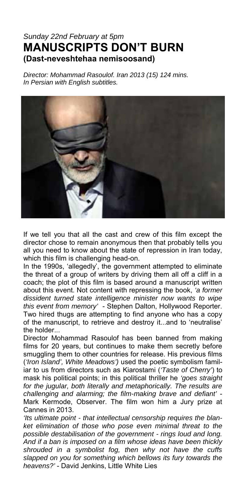## *Sunday 22nd February at 5pm*  **MANUSCRIPTS DON'T BURN (Dast-neveshtehaa nemisoosand)**

*Director: Mohammad Rasoulof. Iran 2013 (15) 124 mins. In Persian with English subtitles.* 



If we tell you that all the cast and crew of this film except the director chose to remain anonymous then that probably tells you all you need to know about the state of repression in Iran today, which this film is challenging head-on.

In the 1990s, 'allegedly', the government attempted to eliminate the threat of a group of writers by driving them all off a cliff in a coach; the plot of this film is based around a manuscript written about this event. Not content with repressing the book, *'a former dissident turned state intelligence minister now wants to wipe this event from memory'* - Stephen Dalton, Hollywood Reporter. Two hired thugs are attempting to find anyone who has a copy of the manuscript, to retrieve and destroy it...and to 'neutralise' the holder...

Director Mohammad Rasoulof has been banned from making films for 20 years, but continues to make them secretly before smuggling them to other countries for release. His previous films (*'Iron Island', White Meadows')* used the poetic symbolism familiar to us from directors such as Kiarostami (*'Taste of Cherry'*) to mask his political points; in this political thriller he *'goes straight for the jugular, both literally and metaphorically. The results are challenging and alarming; the film-making brave and defiant'* - Mark Kermode, Observer. The film won him a Jury prize at Cannes in 2013.

*'Its ultimate point - that intellectual censorship requires the blanket elimination of those who pose even minimal threat to the possible destabilisation of the government - rings loud and long. And if a ban is imposed on a film whose ideas have been thickly shrouded in a symbolist fog, then why not have the cuffs slapped on you for something which bellows its fury towards the heavens?'* - David Jenkins, Little White Lies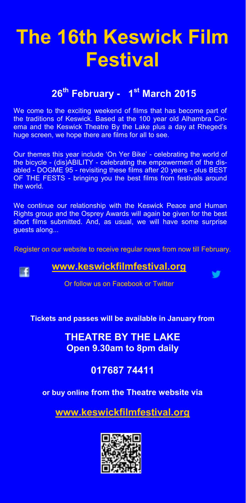# **The 16th Keswick Film Festival**

# **26th February - 1st March 2015**

We come to the exciting weekend of films that has become part of the traditions of Keswick. Based at the 100 year old Alhambra Cinema and the Keswick Theatre By the Lake plus a day at Rheged's huge screen, we hope there are films for all to see.

Our themes this year include 'On Yer Bike' - celebrating the world of the bicycle - (dis)ABILITY - celebrating the empowerment of the disabled - DOGME 95 - revisiting these films after 20 years - plus BEST OF THE FESTS - bringing you the best films from festivals around the world.

We continue our relationship with the Keswick Peace and Human Rights group and the Osprey Awards will again be given for the best short films submitted. And, as usual, we will have some surprise guests along...

Register on our website to receive regular news from now till February.

#### **www.keswickfilmfestival.org**

Œ

Or follow us on Facebook or Twitter

#### **Tickets and passes will be available in January from**

**THEATRE BY THE LAKE Open 9.30am to 8pm daily** 

## **017687 74411**

#### **or buy online from the Theatre website via**

**www.keswickfilmfestival.org**

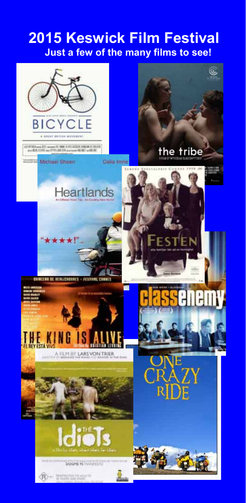# **2015 Keswick Film Festival Just a few of the many films to see!**

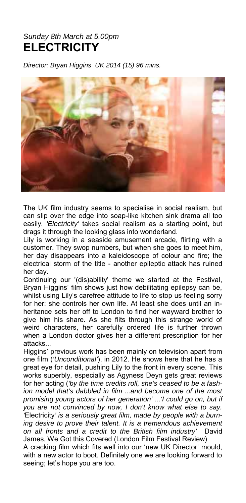# *Sunday 8th March at 5.00pm*  **ELECTRICITY**

*Director: Bryan Higgins UK 2014 (15) 96 mins.* 



The UK film industry seems to specialise in social realism, but can slip over the edge into soap-like kitchen sink drama all too easily. *'Electricity'* takes social realism as a starting point, but drags it through the looking glass into wonderland.

Lily is working in a seaside amusement arcade, flirting with a customer. They swop numbers, but when she goes to meet him, her day disappears into a kaleidoscope of colour and fire; the electrical storm of the title - another epileptic attack has ruined her day.

Continuing our '(dis)ability' theme we started at the Festival, Bryan Higgins' film shows just how debilitating epilepsy can be, whilst using Lily's carefree attitude to life to stop us feeling sorry for her: she controls her own life. At least she does until an inheritance sets her off to London to find her wayward brother to give him his share. As she flits through this strange world of weird characters, her carefully ordered life is further thrown when a London doctor gives her a different prescription for her attacks...

Higgins' previous work has been mainly on television apart from one film (*'Unconditional'*), in 2012. He shows here that he has a great eye for detail, pushing Lily to the front in every scene. This works superbly, especially as Agyness Deyn gets great reviews for her acting (*'by the time credits roll, she's ceased to be a fashion model that's dabbled in film ...and become one of the most promising young actors of her generation'* ...*'I could go on, but if you are not convinced by now, I don't know what else to say. '*Electricity*' is a seriously great film, made by people with a burning desire to prove their talent. It is a tremendous achievement on all fronts and a credit to the British film industry'* David James, We Got this Covered (London Film Festival Review)

A cracking film which fits well into our 'new UK Director' mould, with a new actor to boot. Definitely one we are looking forward to seeing; let's hope you are too.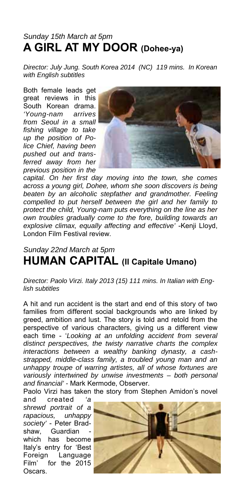# *Sunday 15th March at 5pm*  **A GIRL AT MY DOOR (Dohee-ya)**

*Director: July Jung. South Korea 2014 (NC) 119 mins. In Korean with English subtitles* 

Both female leads get great reviews in this South Korean drama. *'Young-nam arrives from Seoul in a small fishing village to take up the position of Police Chief, having been pushed out and transferred away from her previous position in the* 



*capital. On her first day moving into the town, she comes across a young girl, Dohee, whom she soon discovers is being beaten by an alcoholic stepfather and grandmother. Feeling compelled to put herself between the girl and her family to protect the child, Young-nam puts everything on the line as her own troubles gradually come to the fore, building towards an explosive climax, equally affecting and effective'* -Kenji Lloyd, London Film Festival review.

# *Sunday 22nd March at 5pm*  **HUMAN CAPITAL (Il Capitale Umano)**

*Director: Paolo Virzi. Italy 2013 (15) 111 mins. In Italian with English subtitles* 

A hit and run accident is the start and end of this story of two families from different social backgrounds who are linked by greed, ambition and lust. The story is told and retold from the perspective of various characters, giving us a different view each time - '*Looking at an unfolding accident from several distinct perspectives, the twisty narrative charts the complex interactions between a wealthy banking dynasty, a cashstrapped, middle-class family, a troubled young man and an unhappy troupe of warring artistes, all of whose fortunes are variously intertwined by unwise investments – both personal and financial' -* Mark Kermode, Observer.

Paolo Virzi has taken the story from Stephen Amidon's novel

and created *'a shrewd portrait of a rapacious, unhappy society'* - Peter Bradshaw, Guardian which has become Italy's entry for 'Best Foreign Language Film' for the 2015 Oscars.

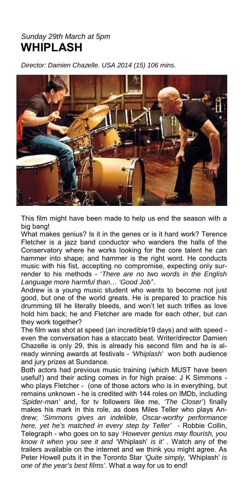#### *Sunday 29th March at 5pm*  **WHIPLASH**

*Director: Damien Chazelle. USA 2014 (15) 106 mins.* 



This film might have been made to help us end the season with a big bang!

What makes genius? Is it in the genes or is it hard work? Terence Fletcher is a jazz band conductor who wanders the halls of the Conservatory where he works looking for the core talent he can hammer into shape; and hammer is the right word. He conducts music with his fist, accepting no compromise, expecting only surrender to his methods - '*There are no two words in the English Language more harmful than… 'Good Job'*'.

Andrew is a young music student who wants to become not just good, but one of the world greats. He is prepared to practice his drumming till he literally bleeds, and won't let such trifles as love hold him back; he and Fletcher are made for each other, but can they work together?

The film was shot at speed (an incredible19 days) and with speed even the conversation has a staccato beat. Writer/director Damien Chazelle is only 29, this is already his second film and he is already winning awards at festivals - *'Whiplash'* won both audience and jury prizes at Sundance.

Both actors had previous music training (which MUST have been useful!) and their acting comes in for high praise: J K Simmons who plays Fletcher - (one of those actors who is in everything, but remains unknown - he is credited with 144 roles on IMDb, including *'Spider-man'* and, for tv followers like me, *'The Closer'*) finally makes his mark in this role, as does Miles Teller who plays Andrew; '*Simmons gives an indelible, Oscar-worthy performance here, yet he's matched in every step by Teller' -* Robbie Collin, Telegraph - who goes on to say *'However genius may flourish, you know it when you see it and '*Whiplash' *is it' .* Watch any of the trailers available on the internet and we think you might agree. As Peter Howell puts it in the Toronto Star *'Quite simply,* 'Whiplash' *is one of the year's best films'*. What a way for us to end!